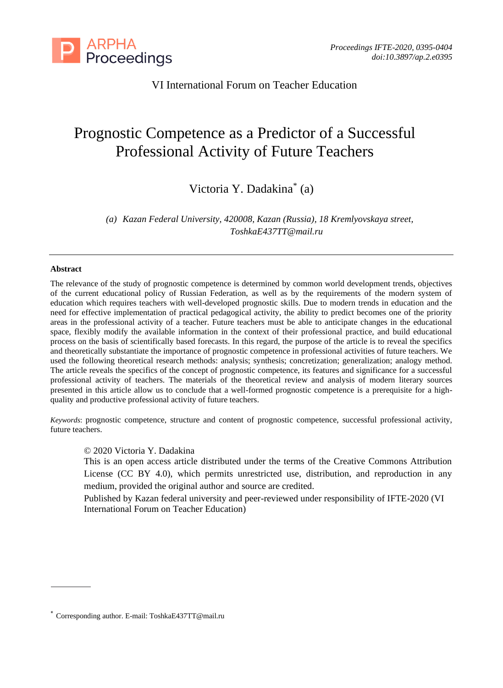

VI International Forum on Teacher Education

# Prognostic Competence as a Predictor of a Successful Professional Activity of Future Teachers

Victoria Y. Dadakina\* (a)

*(a) Kazan Federal University, 420008, Kazan (Russia), 18 Kremlyovskaya street, ToshkaE437TT@mail.ru*

#### **Abstract**

The relevance of the study of prognostic competence is determined by common world development trends, objectives of the current educational policy of Russian Federation, as well as by the requirements of the modern system of education which requires teachers with well-developed prognostic skills. Due to modern trends in education and the need for effective implementation of practical pedagogical activity, the ability to predict becomes one of the priority areas in the professional activity of a teacher. Future teachers must be able to anticipate changes in the educational space, flexibly modify the available information in the context of their professional practice, and build educational process on the basis of scientifically based forecasts. In this regard, the purpose of the article is to reveal the specifics and theoretically substantiate the importance of prognostic competence in professional activities of future teachers. We used the following theoretical research methods: analysis; synthesis; concretization; generalization; analogy method. The article reveals the specifics of the concept of prognostic competence, its features and significance for a successful professional activity of teachers. The materials of the theoretical review and analysis of modern literary sources presented in this article allow us to conclude that a well-formed prognostic competence is a prerequisite for a highquality and productive professional activity of future teachers.

*Keywords*: prognostic competence, structure and content of prognostic competence, successful professional activity, future teachers.

# © 2020 Victoria Y. Dadakina

This is an open access article distributed under the terms of the Creative Commons Attribution License (CC BY 4.0), which permits unrestricted use, distribution, and reproduction in any medium, provided the original author and source are credited.

Published by Kazan federal university and peer-reviewed under responsibility of IFTE-2020 (VI International Forum on Teacher Education)

<sup>\*</sup> Corresponding author. E-mail: ToshkaE437TT@mail.ru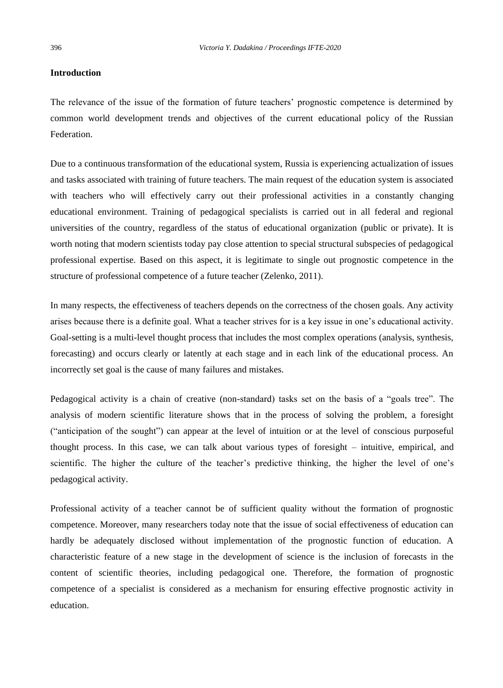## **Introduction**

The relevance of the issue of the formation of future teachers' prognostic competence is determined by common world development trends and objectives of the current educational policy of the Russian Federation.

Due to a continuous transformation of the educational system, Russia is experiencing actualization of issues and tasks associated with training of future teachers. The main request of the education system is associated with teachers who will effectively carry out their professional activities in a constantly changing educational environment. Training of pedagogical specialists is carried out in all federal and regional universities of the country, regardless of the status of educational organization (public or private). It is worth noting that modern scientists today pay close attention to special structural subspecies of pedagogical professional expertise. Based on this aspect, it is legitimate to single out prognostic competence in the structure of professional competence of a future teacher (Zelenko, 2011).

In many respects, the effectiveness of teachers depends on the correctness of the chosen goals. Any activity arises because there is a definite goal. What a teacher strives for is a key issue in one's educational activity. Goal-setting is a multi-level thought process that includes the most complex operations (analysis, synthesis, forecasting) and occurs clearly or latently at each stage and in each link of the educational process. An incorrectly set goal is the cause of many failures and mistakes.

Pedagogical activity is a chain of creative (non-standard) tasks set on the basis of a "goals tree". The analysis of modern scientific literature shows that in the process of solving the problem, a foresight ("anticipation of the sought") can appear at the level of intuition or at the level of conscious purposeful thought process. In this case, we can talk about various types of foresight – intuitive, empirical, and scientific. The higher the culture of the teacher's predictive thinking, the higher the level of one's pedagogical activity.

Professional activity of a teacher cannot be of sufficient quality without the formation of prognostic competence. Moreover, many researchers today note that the issue of social effectiveness of education can hardly be adequately disclosed without implementation of the prognostic function of education. A characteristic feature of a new stage in the development of science is the inclusion of forecasts in the content of scientific theories, including pedagogical one. Therefore, the formation of prognostic competence of a specialist is considered as a mechanism for ensuring effective prognostic activity in education.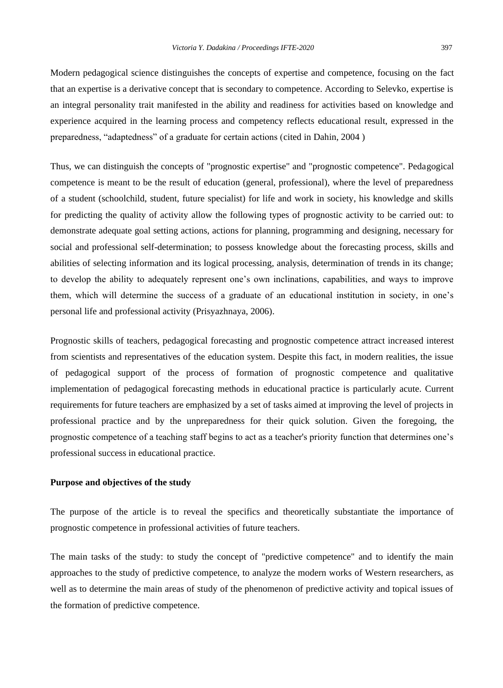Modern pedagogical science distinguishes the concepts of expertise and competence, focusing on the fact that an expertise is a derivative concept that is secondary to competence. According to Selevko, expertise is an integral personality trait manifested in the ability and readiness for activities based on knowledge and experience acquired in the learning process and competency reflects educational result, expressed in the preparedness, "adaptedness" of a graduate for certain actions (cited in Dahin, 2004 )

Thus, we can distinguish the concepts of "prognostic expertise" and "prognostic competence". Pedagogical competence is meant to be the result of education (general, professional), where the level of preparedness of a student (schoolchild, student, future specialist) for life and work in society, his knowledge and skills for predicting the quality of activity allow the following types of prognostic activity to be carried out: to demonstrate adequate goal setting actions, actions for planning, programming and designing, necessary for social and professional self-determination; to possess knowledge about the forecasting process, skills and abilities of selecting information and its logical processing, analysis, determination of trends in its change; to develop the ability to adequately represent one's own inclinations, capabilities, and ways to improve them, which will determine the success of a graduate of an educational institution in society, in one's personal life and professional activity (Prisyazhnaya, 2006).

Prognostic skills of teachers, pedagogical forecasting and prognostic competence attract increased interest from scientists and representatives of the education system. Despite this fact, in modern realities, the issue of pedagogical support of the process of formation of prognostic competence and qualitative implementation of pedagogical forecasting methods in educational practice is particularly acute. Current requirements for future teachers are emphasized by a set of tasks aimed at improving the level of projects in professional practice and by the unpreparedness for their quick solution. Given the foregoing, the prognostic competence of a teaching staff begins to act as a teacher's priority function that determines one's professional success in educational practice.

## **Purpose and objectives of the study**

The purpose of the article is to reveal the specifics and theoretically substantiate the importance of prognostic competence in professional activities of future teachers.

The main tasks of the study: to study the concept of "predictive competence" and to identify the main approaches to the study of predictive competence, to analyze the modern works of Western researchers, as well as to determine the main areas of study of the phenomenon of predictive activity and topical issues of the formation of predictive competence.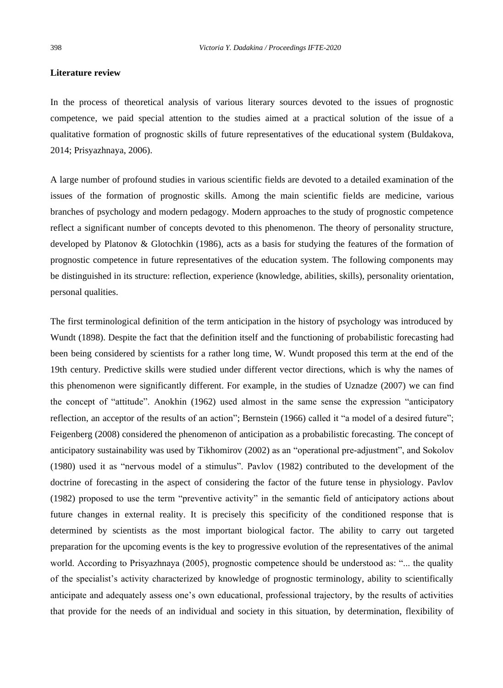### **Literature review**

In the process of theoretical analysis of various literary sources devoted to the issues of prognostic competence, we paid special attention to the studies aimed at a practical solution of the issue of a qualitative formation of prognostic skills of future representatives of the educational system (Buldakova, 2014; Prisyazhnaya, 2006).

A large number of profound studies in various scientific fields are devoted to a detailed examination of the issues of the formation of prognostic skills. Among the main scientific fields are medicine, various branches of psychology and modern pedagogy. Modern approaches to the study of prognostic competence reflect a significant number of concepts devoted to this phenomenon. The theory of personality structure, developed by Platonov & Glotochkin (1986), acts as a basis for studying the features of the formation of prognostic competence in future representatives of the education system. The following components may be distinguished in its structure: reflection, experience (knowledge, abilities, skills), personality orientation, personal qualities.

The first terminological definition of the term anticipation in the history of psychology was introduced by Wundt (1898). Despite the fact that the definition itself and the functioning of probabilistic forecasting had been being considered by scientists for a rather long time, W. Wundt proposed this term at the end of the 19th century. Predictive skills were studied under different vector directions, which is why the names of this phenomenon were significantly different. For example, in the studies of Uznadze (2007) we can find the concept of "attitude". Anokhin (1962) used almost in the same sense the expression "anticipatory reflection, an acceptor of the results of an action"; Bernstein (1966) called it "a model of a desired future"; Feigenberg (2008) considered the phenomenon of anticipation as a probabilistic forecasting. The concept of anticipatory sustainability was used by Tikhomirov (2002) as an "operational pre-adjustment", and Sokolov (1980) used it as "nervous model of a stimulus". Pavlov (1982) contributed to the development of the doctrine of forecasting in the aspect of considering the factor of the future tense in physiology. Pavlov (1982) proposed to use the term "preventive activity" in the semantic field of anticipatory actions about future changes in external reality. It is precisely this specificity of the conditioned response that is determined by scientists as the most important biological factor. The ability to carry out targeted preparation for the upcoming events is the key to progressive evolution of the representatives of the animal world. According to Prisyazhnaya (2005), prognostic competence should be understood as: "... the quality of the specialist's activity characterized by knowledge of prognostic terminology, ability to scientifically anticipate and adequately assess one's own educational, professional trajectory, by the results of activities that provide for the needs of an individual and society in this situation, by determination, flexibility of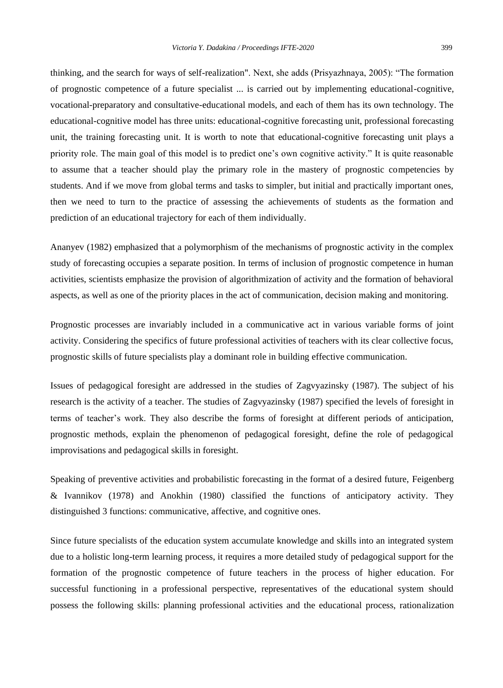thinking, and the search for ways of self-realization". Next, she adds (Prisyazhnaya, 2005): "The formation of prognostic competence of a future specialist ... is carried out by implementing educational-cognitive, vocational-preparatory and consultative-educational models, and each of them has its own technology. The educational-cognitive model has three units: educational-cognitive forecasting unit, professional forecasting unit, the training forecasting unit. It is worth to note that educational-cognitive forecasting unit plays a priority role. The main goal of this model is to predict one's own cognitive activity." It is quite reasonable to assume that a teacher should play the primary role in the mastery of prognostic competencies by students. And if we move from global terms and tasks to simpler, but initial and practically important ones, then we need to turn to the practice of assessing the achievements of students as the formation and prediction of an educational trajectory for each of them individually.

Ananyev (1982) emphasized that a polymorphism of the mechanisms of prognostic activity in the complex study of forecasting occupies a separate position. In terms of inclusion of prognostic competence in human activities, scientists emphasize the provision of algorithmization of activity and the formation of behavioral aspects, as well as one of the priority places in the act of communication, decision making and monitoring.

Prognostic processes are invariably included in a communicative act in various variable forms of joint activity. Considering the specifics of future professional activities of teachers with its clear collective focus, prognostic skills of future specialists play a dominant role in building effective communication.

Issues of pedagogical foresight are addressed in the studies of Zagvyazinsky (1987). The subject of his research is the activity of a teacher. The studies of Zagvyazinsky (1987) specified the levels of foresight in terms of teacher's work. They also describe the forms of foresight at different periods of anticipation, prognostic methods, explain the phenomenon of pedagogical foresight, define the role of pedagogical improvisations and pedagogical skills in foresight.

Speaking of preventive activities and probabilistic forecasting in the format of a desired future, Feigenberg & Ivannikov (1978) and Anokhin (1980) classified the functions of anticipatory activity. They distinguished 3 functions: communicative, affective, and cognitive ones.

Since future specialists of the education system accumulate knowledge and skills into an integrated system due to a holistic long-term learning process, it requires a more detailed study of pedagogical support for the formation of the prognostic competence of future teachers in the process of higher education. For successful functioning in a professional perspective, representatives of the educational system should possess the following skills: planning professional activities and the educational process, rationalization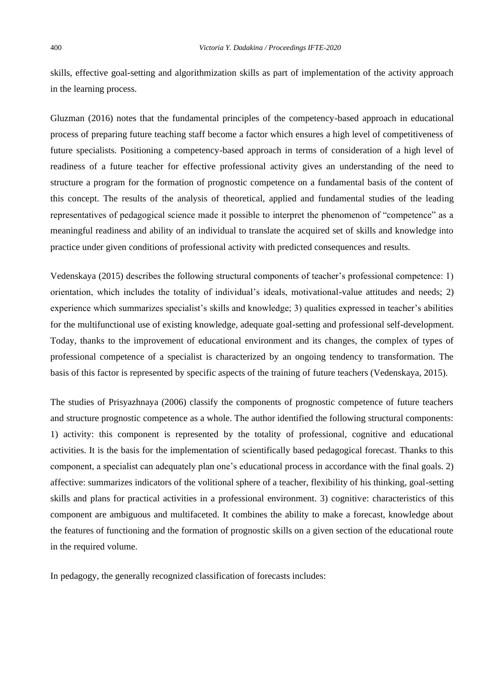skills, effective goal-setting and algorithmization skills as part of implementation of the activity approach in the learning process.

Gluzman (2016) notes that the fundamental principles of the competency-based approach in educational process of preparing future teaching staff become a factor which ensures a high level of competitiveness of future specialists. Positioning a competency-based approach in terms of consideration of a high level of readiness of a future teacher for effective professional activity gives an understanding of the need to structure a program for the formation of prognostic competence on a fundamental basis of the content of this concept. The results of the analysis of theoretical, applied and fundamental studies of the leading representatives of pedagogical science made it possible to interpret the phenomenon of "competence" as a meaningful readiness and ability of an individual to translate the acquired set of skills and knowledge into practice under given conditions of professional activity with predicted consequences and results.

Vedenskaya (2015) describes the following structural components of teacher's professional competence: 1) orientation, which includes the totality of individual's ideals, motivational-value attitudes and needs; 2) experience which summarizes specialist's skills and knowledge; 3) qualities expressed in teacher's abilities for the multifunctional use of existing knowledge, adequate goal-setting and professional self-development. Today, thanks to the improvement of educational environment and its changes, the complex of types of professional competence of a specialist is characterized by an ongoing tendency to transformation. The basis of this factor is represented by specific aspects of the training of future teachers (Vedenskaya, 2015).

The studies of Prisyazhnaya (2006) classify the components of prognostic competence of future teachers and structure prognostic competence as a whole. The author identified the following structural components: 1) activity: this component is represented by the totality of professional, cognitive and educational activities. It is the basis for the implementation of scientifically based pedagogical forecast. Thanks to this component, a specialist can adequately plan one's educational process in accordance with the final goals. 2) affective: summarizes indicators of the volitional sphere of a teacher, flexibility of his thinking, goal-setting skills and plans for practical activities in a professional environment. 3) cognitive: characteristics of this component are ambiguous and multifaceted. It combines the ability to make a forecast, knowledge about the features of functioning and the formation of prognostic skills on a given section of the educational route in the required volume.

In pedagogy, the generally recognized classification of forecasts includes: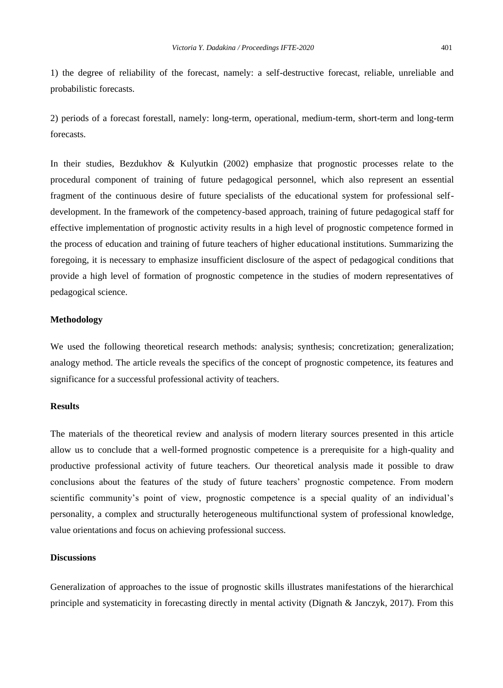1) the degree of reliability of the forecast, namely: a self-destructive forecast, reliable, unreliable and probabilistic forecasts.

2) periods of a forecast forestall, namely: long-term, operational, medium-term, short-term and long-term forecasts.

In their studies, Bezdukhov & Kulyutkin (2002) emphasize that prognostic processes relate to the procedural component of training of future pedagogical personnel, which also represent an essential fragment of the continuous desire of future specialists of the educational system for professional selfdevelopment. In the framework of the competency-based approach, training of future pedagogical staff for effective implementation of prognostic activity results in a high level of prognostic competence formed in the process of education and training of future teachers of higher educational institutions. Summarizing the foregoing, it is necessary to emphasize insufficient disclosure of the aspect of pedagogical conditions that provide a high level of formation of prognostic competence in the studies of modern representatives of pedagogical science.

## **Methodology**

We used the following theoretical research methods: analysis; synthesis; concretization; generalization; analogy method. The article reveals the specifics of the concept of prognostic competence, its features and significance for a successful professional activity of teachers.

#### **Results**

The materials of the theoretical review and analysis of modern literary sources presented in this article allow us to conclude that a well-formed prognostic competence is a prerequisite for a high-quality and productive professional activity of future teachers. Our theoretical analysis made it possible to draw conclusions about the features of the study of future teachers' prognostic competence. From modern scientific community's point of view, prognostic competence is a special quality of an individual's personality, a complex and structurally heterogeneous multifunctional system of professional knowledge, value orientations and focus on achieving professional success.

#### **Discussions**

Generalization of approaches to the issue of prognostic skills illustrates manifestations of the hierarchical principle and systematicity in forecasting directly in mental activity (Dignath & Janczyk, 2017). From this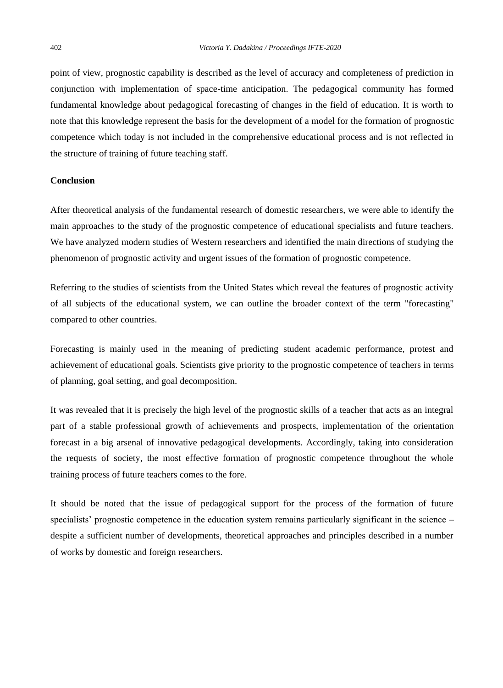point of view, prognostic capability is described as the level of accuracy and completeness of prediction in conjunction with implementation of space-time anticipation. The pedagogical community has formed fundamental knowledge about pedagogical forecasting of changes in the field of education. It is worth to note that this knowledge represent the basis for the development of a model for the formation of prognostic competence which today is not included in the comprehensive educational process and is not reflected in the structure of training of future teaching staff.

## **Conclusion**

After theoretical analysis of the fundamental research of domestic researchers, we were able to identify the main approaches to the study of the prognostic competence of educational specialists and future teachers. We have analyzed modern studies of Western researchers and identified the main directions of studying the phenomenon of prognostic activity and urgent issues of the formation of prognostic competence.

Referring to the studies of scientists from the United States which reveal the features of prognostic activity of all subjects of the educational system, we can outline the broader context of the term "forecasting" compared to other countries.

Forecasting is mainly used in the meaning of predicting student academic performance, protest and achievement of educational goals. Scientists give priority to the prognostic competence of teachers in terms of planning, goal setting, and goal decomposition.

It was revealed that it is precisely the high level of the prognostic skills of a teacher that acts as an integral part of a stable professional growth of achievements and prospects, implementation of the orientation forecast in a big arsenal of innovative pedagogical developments. Accordingly, taking into consideration the requests of society, the most effective formation of prognostic competence throughout the whole training process of future teachers comes to the fore.

It should be noted that the issue of pedagogical support for the process of the formation of future specialists' prognostic competence in the education system remains particularly significant in the science – despite a sufficient number of developments, theoretical approaches and principles described in a number of works by domestic and foreign researchers.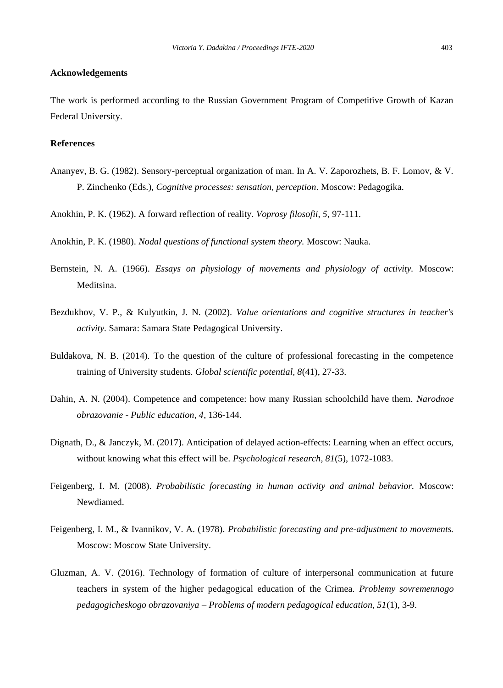## **Acknowledgements**

The work is performed according to the Russian Government Program of Competitive Growth of Kazan Federal University.

# **References**

Ananyev, B. G. (1982). Sensory-perceptual organization of man. In A. V. Zaporozhets, B. F. Lomov, & V. P. Zinchenko (Eds.), *Cognitive processes: sensation, perception*. Moscow: Pedagogika.

Anokhin, P. K. (1962). A forward reflection of reality. *Voprosy filosofii, 5*, 97-111.

Anokhin, P. K. (1980). *Nodal questions of functional system theory.* Moscow: Nauka.

- Bernstein, N. A. (1966). *Essays on physiology of movements and physiology of activity.* Moscow: Meditsina.
- Bezdukhov, V. P., & Kulyutkin, J. N. (2002). *Value orientations and cognitive structures in teacher's activity.* Samara: Samara State Pedagogical University.
- Buldakova, N. B. (2014). To the question of the culture of professional forecasting in the competence training of University students. *Global scientific potential, 8*(41), 27-33.
- Dahin, A. N. (2004). Competence and competence: how many Russian schoolchild have them. *Narodnoe obrazovanie - Public education, 4*, 136-144.
- Dignath, D., & Janczyk, M. (2017). Anticipation of delayed action-effects: Learning when an effect occurs, without knowing what this effect will be. *Psychological research, 81*(5), 1072-1083.
- Feigenberg, I. M. (2008). *Probabilistic forecasting in human activity and animal behavior.* Moscow: Newdiamed.
- Feigenberg, I. M., & Ivannikov, V. A. (1978). *Probabilistic forecasting and pre-adjustment to movements.* Moscow: Moscow State University.
- Gluzman, A. V. (2016). Technology of formation of culture of interpersonal communication at future teachers in system of the higher pedagogical education of the Crimea. *Problemy sovremennogo pedagogicheskogo obrazovaniya – Problems of modern pedagogical education, 51*(1), 3-9.